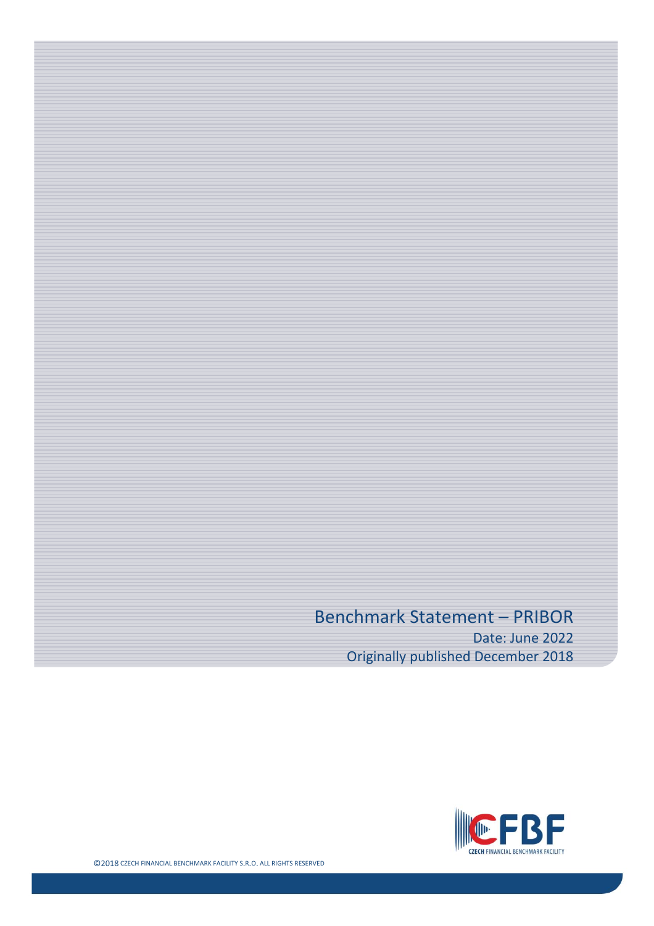# Benchmark Statement – PRIBOR

Date: June 2022 Originally published December 2018

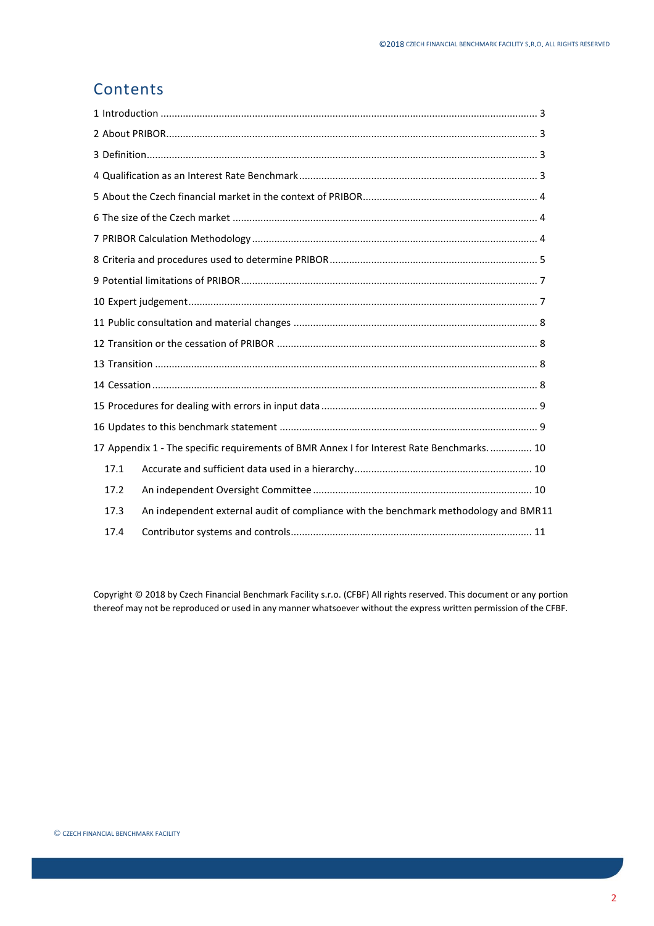#### Contents

|      | 17 Appendix 1 - The specific requirements of BMR Annex I for Interest Rate Benchmarks.  10 |  |
|------|--------------------------------------------------------------------------------------------|--|
| 17.1 |                                                                                            |  |
| 17.2 |                                                                                            |  |
| 17.3 | An independent external audit of compliance with the benchmark methodology and BMR11       |  |
| 17.4 |                                                                                            |  |

Copyright © 2018 by Czech Financial Benchmark Facility s.r.o. (CFBF) All rights reserved. This document or any portion thereof may not be reproduced or used in any manner whatsoever without the express written permission of the CFBF.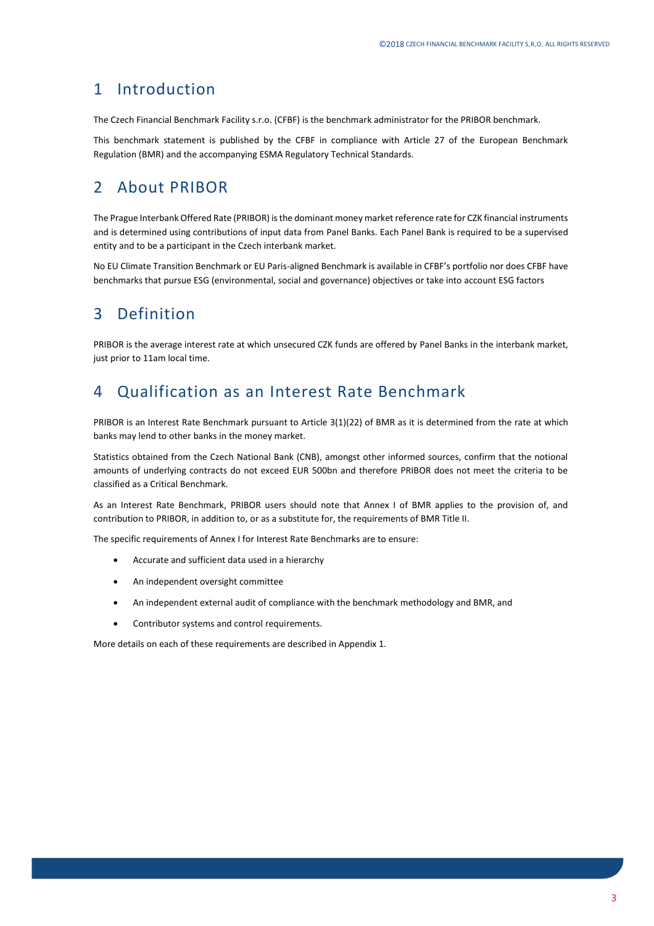#### <span id="page-2-0"></span>1 Introduction

The Czech Financial Benchmark Facility s.r.o. (CFBF) is the benchmark administrator for the PRIBOR benchmark.

This benchmark statement is published by the CFBF in compliance with Article 27 of the European Benchmark Regulation (BMR) and the accompanying ESMA Regulatory Technical Standards.

### <span id="page-2-1"></span>2 About PRIBOR

The Prague Interbank Offered Rate (PRIBOR) is the dominant money market reference rate for CZK financial instruments and is determined using contributions of input data from Panel Banks. Each Panel Bank is required to be a supervised entity and to be a participant in the Czech interbank market.

No EU Climate Transition Benchmark or EU Paris-aligned Benchmark is available in CFBF's portfolio nor does CFBF have benchmarks that pursue ESG (environmental, social and governance) objectives or take into account ESG factors

# <span id="page-2-2"></span>3 Definition

PRIBOR is the average interest rate at which unsecured CZK funds are offered by Panel Banks in the interbank market, just prior to 11am local time.

#### <span id="page-2-3"></span>4 Qualification as an Interest Rate Benchmark

PRIBOR is an Interest Rate Benchmark pursuant to Article 3(1)(22) of BMR as it is determined from the rate at which banks may lend to other banks in the money market.

Statistics obtained from the Czech National Bank (CNB), amongst other informed sources, confirm that the notional amounts of underlying contracts do not exceed EUR 500bn and therefore PRIBOR does not meet the criteria to be classified as a Critical Benchmark.

As an Interest Rate Benchmark, PRIBOR users should note that Annex I of BMR applies to the provision of, and contribution to PRIBOR, in addition to, or as a substitute for, the requirements of BMR Title II.

The specific requirements of Annex I for Interest Rate Benchmarks are to ensure:

- Accurate and sufficient data used in a hierarchy
- An independent oversight committee
- An independent external audit of compliance with the benchmark methodology and BMR, and
- Contributor systems and control requirements.

More details on each of these requirements are described in Appendix 1.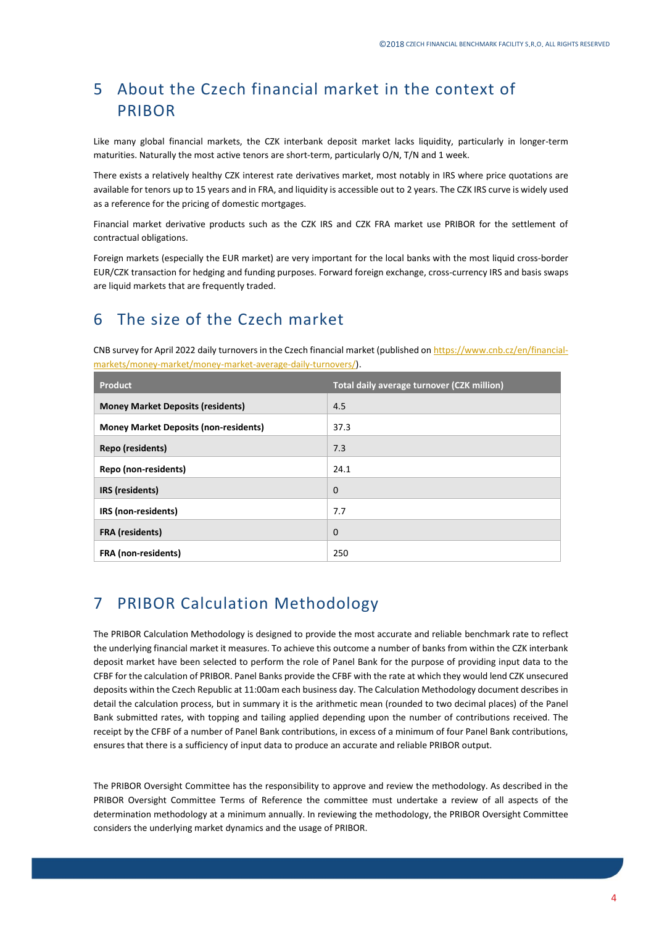# <span id="page-3-0"></span>5 About the Czech financial market in the context of PRIBOR

Like many global financial markets, the CZK interbank deposit market lacks liquidity, particularly in longer-term maturities. Naturally the most active tenors are short-term, particularly O/N, T/N and 1 week.

There exists a relatively healthy CZK interest rate derivatives market, most notably in IRS where price quotations are available for tenors up to 15 years and in FRA, and liquidity is accessible out to 2 years. The CZK IRS curve is widely used as a reference for the pricing of domestic mortgages.

Financial market derivative products such as the CZK IRS and CZK FRA market use PRIBOR for the settlement of contractual obligations.

Foreign markets (especially the EUR market) are very important for the local banks with the most liquid cross-border EUR/CZK transaction for hedging and funding purposes. Forward foreign exchange, cross-currency IRS and basis swaps are liquid markets that are frequently traded.

#### <span id="page-3-1"></span>6 The size of the Czech market

CNB survey for April 2022 daily turnovers in the Czech financial market (published o[n https://www.cnb.cz/en/financial](https://www.cnb.cz/en/financial-markets/money-market/money-market-average-daily-turnovers/)[markets/money-market/money-market-average-daily-turnovers/\)](https://www.cnb.cz/en/financial-markets/money-market/money-market-average-daily-turnovers/).

| Product                                      | Total daily average turnover (CZK million) |
|----------------------------------------------|--------------------------------------------|
| <b>Money Market Deposits (residents)</b>     | 4.5                                        |
| <b>Money Market Deposits (non-residents)</b> | 37.3                                       |
| Repo (residents)                             | 7.3                                        |
| Repo (non-residents)                         | 24.1                                       |
| IRS (residents)                              | $\mathbf 0$                                |
| IRS (non-residents)                          | 7.7                                        |
| <b>FRA</b> (residents)                       | $\mathbf 0$                                |
| <b>FRA</b> (non-residents)                   | 250                                        |

#### <span id="page-3-2"></span>7 PRIBOR Calculation Methodology

The PRIBOR Calculation Methodology is designed to provide the most accurate and reliable benchmark rate to reflect the underlying financial market it measures. To achieve this outcome a number of banks from within the CZK interbank deposit market have been selected to perform the role of Panel Bank for the purpose of providing input data to the CFBF for the calculation of PRIBOR. Panel Banks provide the CFBF with the rate at which they would lend CZK unsecured deposits within the Czech Republic at 11:00am each business day. The Calculation Methodology document describes in detail the calculation process, but in summary it is the arithmetic mean (rounded to two decimal places) of the Panel Bank submitted rates, with topping and tailing applied depending upon the number of contributions received. The receipt by the CFBF of a number of Panel Bank contributions, in excess of a minimum of four Panel Bank contributions, ensures that there is a sufficiency of input data to produce an accurate and reliable PRIBOR output.

The PRIBOR Oversight Committee has the responsibility to approve and review the methodology. As described in the PRIBOR Oversight Committee Terms of Reference the committee must undertake a review of all aspects of the determination methodology at a minimum annually. In reviewing the methodology, the PRIBOR Oversight Committee considers the underlying market dynamics and the usage of PRIBOR.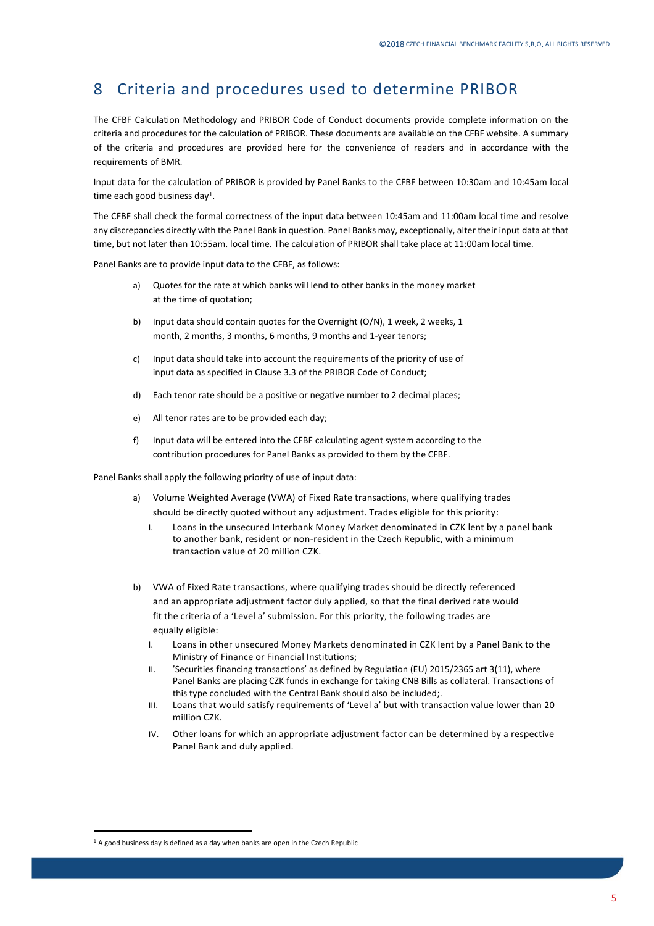### <span id="page-4-0"></span>8 Criteria and procedures used to determine PRIBOR

The CFBF Calculation Methodology and PRIBOR Code of Conduct documents provide complete information on the criteria and procedures for the calculation of PRIBOR. These documents are available on the CFBF website. A summary of the criteria and procedures are provided here for the convenience of readers and in accordance with the requirements of BMR.

Input data for the calculation of PRIBOR is provided by Panel Banks to the CFBF between 10:30am and 10:45am local time each good business day<sup>1</sup>.

The CFBF shall check the formal correctness of the input data between 10:45am and 11:00am local time and resolve any discrepancies directly with the Panel Bank in question. Panel Banks may, exceptionally, alter their input data at that time, but not later than 10:55am. local time. The calculation of PRIBOR shall take place at 11:00am local time.

Panel Banks are to provide input data to the CFBF, as follows:

- a) Quotes for the rate at which banks will lend to other banks in the money market at the time of quotation;
- b) Input data should contain quotes for the Overnight (O/N), 1 week, 2 weeks, 1 month, 2 months, 3 months, 6 months, 9 months and 1-year tenors;
- c) Input data should take into account the requirements of the priority of use of input data as specified in Clause 3.3 of the PRIBOR Code of Conduct;
- d) Each tenor rate should be a positive or negative number to 2 decimal places;
- e) All tenor rates are to be provided each day;
- f) Input data will be entered into the CFBF calculating agent system according to the contribution procedures for Panel Banks as provided to them by the CFBF.

Panel Banks shall apply the following priority of use of input data:

- a) Volume Weighted Average (VWA) of Fixed Rate transactions, where qualifying trades should be directly quoted without any adjustment. Trades eligible for this priority:
	- I. Loans in the unsecured Interbank Money Market denominated in CZK lent by a panel bank to another bank, resident or non-resident in the Czech Republic, with a minimum transaction value of 20 million CZK.
- b) VWA of Fixed Rate transactions, where qualifying trades should be directly referenced and an appropriate adjustment factor duly applied, so that the final derived rate would fit the criteria of a 'Level a' submission. For this priority, the following trades are equally eligible:
	- I. Loans in other unsecured Money Markets denominated in CZK lent by a Panel Bank to the Ministry of Finance or Financial Institutions;
	- II. 'Securities financing transactions' as defined by Regulation (EU) 2015/2365 art 3(11), where Panel Banks are placing CZK funds in exchange for taking CNB Bills as collateral. Transactions of this type concluded with the Central Bank should also be included;.
	- III. Loans that would satisfy requirements of 'Level a' but with transaction value lower than 20 million CZK.
	- IV. Other loans for which an appropriate adjustment factor can be determined by a respective Panel Bank and duly applied.

 $1$  A good business day is defined as a day when banks are open in the Czech Republic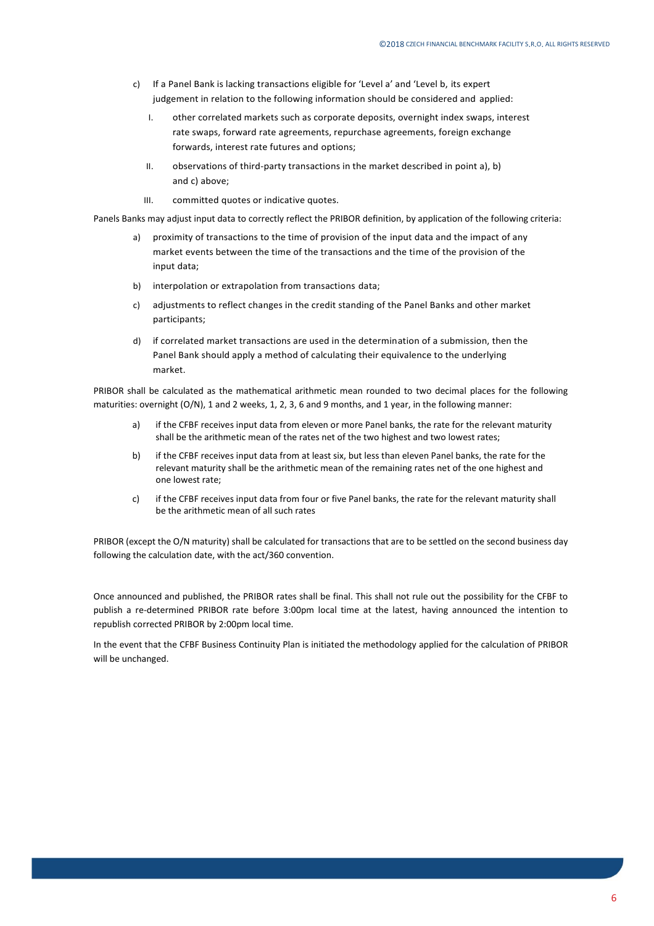- c) If a Panel Bank is lacking transactions eligible for 'Level a' and 'Level b, its expert judgement in relation to the following information should be considered and applied:
	- I. other correlated markets such as corporate deposits, overnight index swaps, interest rate swaps, forward rate agreements, repurchase agreements, foreign exchange forwards, interest rate futures and options;
	- II. observations of third-party transactions in the market described in point a), b) and c) above;
	- III. committed quotes or indicative quotes.

Panels Banks may adjust input data to correctly reflect the PRIBOR definition, by application of the following criteria:

- a) proximity of transactions to the time of provision of the input data and the impact of any market events between the time of the transactions and the time of the provision of the input data;
- b) interpolation or extrapolation from transactions data;
- c) adjustments to reflect changes in the credit standing of the Panel Banks and other market participants;
- d) if correlated market transactions are used in the determination of a submission, then the Panel Bank should apply a method of calculating their equivalence to the underlying market.

PRIBOR shall be calculated as the mathematical arithmetic mean rounded to two decimal places for the following maturities: overnight (O/N), 1 and 2 weeks, 1, 2, 3, 6 and 9 months, and 1 year, in the following manner:

- a) if the CFBF receives input data from eleven or more Panel banks, the rate for the relevant maturity shall be the arithmetic mean of the rates net of the two highest and two lowest rates;
- b) if the CFBF receives input data from at least six, but less than eleven Panel banks, the rate for the relevant maturity shall be the arithmetic mean of the remaining rates net of the one highest and one lowest rate;
- c) if the CFBF receives input data from four or five Panel banks, the rate for the relevant maturity shall be the arithmetic mean of all such rates

PRIBOR (except the O/N maturity) shall be calculated for transactions that are to be settled on the second business day following the calculation date, with the act/360 convention.

Once announced and published, the PRIBOR rates shall be final. This shall not rule out the possibility for the CFBF to publish a re-determined PRIBOR rate before 3:00pm local time at the latest, having announced the intention to republish corrected PRIBOR by 2:00pm local time.

In the event that the CFBF Business Continuity Plan is initiated the methodology applied for the calculation of PRIBOR will be unchanged.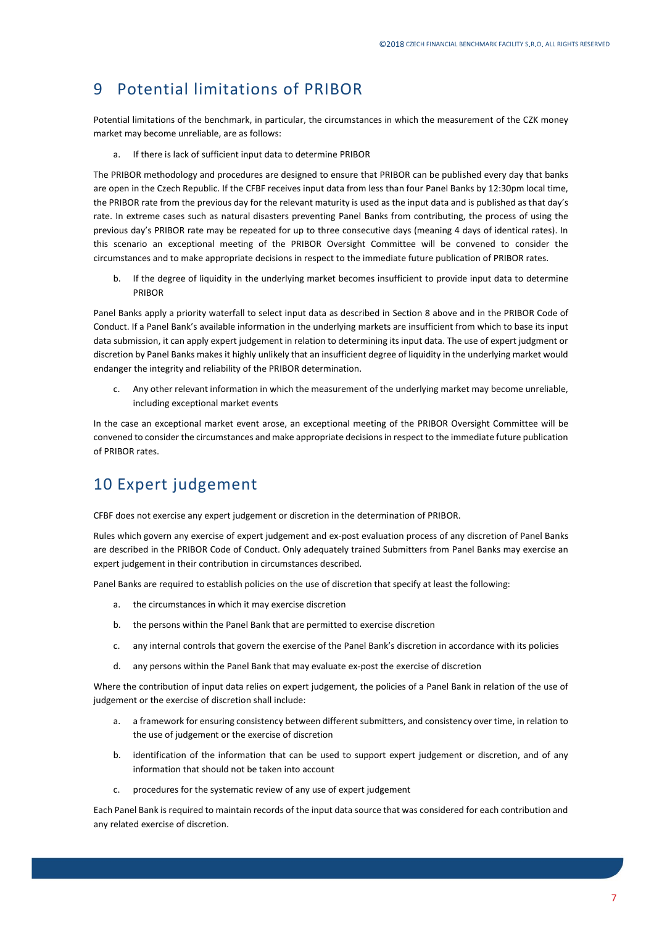### <span id="page-6-0"></span>9 Potential limitations of PRIBOR

Potential limitations of the benchmark, in particular, the circumstances in which the measurement of the CZK money market may become unreliable, are as follows:

a. If there is lack of sufficient input data to determine PRIBOR

The PRIBOR methodology and procedures are designed to ensure that PRIBOR can be published every day that banks are open in the Czech Republic. If the CFBF receives input data from less than four Panel Banks by 12:30pm local time, the PRIBOR rate from the previous day for the relevant maturity is used as the input data and is published as that day's rate. In extreme cases such as natural disasters preventing Panel Banks from contributing, the process of using the previous day's PRIBOR rate may be repeated for up to three consecutive days (meaning 4 days of identical rates). In this scenario an exceptional meeting of the PRIBOR Oversight Committee will be convened to consider the circumstances and to make appropriate decisions in respect to the immediate future publication of PRIBOR rates.

b. If the degree of liquidity in the underlying market becomes insufficient to provide input data to determine PRIBOR

Panel Banks apply a priority waterfall to select input data as described in Section 8 above and in the PRIBOR Code of Conduct. If a Panel Bank's available information in the underlying markets are insufficient from which to base its input data submission, it can apply expert judgement in relation to determining its input data. The use of expert judgment or discretion by Panel Banks makes it highly unlikely that an insufficient degree of liquidity in the underlying market would endanger the integrity and reliability of the PRIBOR determination.

c. Any other relevant information in which the measurement of the underlying market may become unreliable, including exceptional market events

In the case an exceptional market event arose, an exceptional meeting of the PRIBOR Oversight Committee will be convened to consider the circumstances and make appropriate decisions in respect to the immediate future publication of PRIBOR rates.

#### <span id="page-6-1"></span>10 Expert judgement

CFBF does not exercise any expert judgement or discretion in the determination of PRIBOR.

Rules which govern any exercise of expert judgement and ex-post evaluation process of any discretion of Panel Banks are described in the PRIBOR Code of Conduct. Only adequately trained Submitters from Panel Banks may exercise an expert judgement in their contribution in circumstances described.

Panel Banks are required to establish policies on the use of discretion that specify at least the following:

- a. the circumstances in which it may exercise discretion
- b. the persons within the Panel Bank that are permitted to exercise discretion
- c. any internal controls that govern the exercise of the Panel Bank's discretion in accordance with its policies
- d. any persons within the Panel Bank that may evaluate ex-post the exercise of discretion

Where the contribution of input data relies on expert judgement, the policies of a Panel Bank in relation of the use of judgement or the exercise of discretion shall include:

- a. a framework for ensuring consistency between different submitters, and consistency over time, in relation to the use of judgement or the exercise of discretion
- b. identification of the information that can be used to support expert judgement or discretion, and of any information that should not be taken into account
- c. procedures for the systematic review of any use of expert judgement

Each Panel Bank is required to maintain records of the input data source that was considered for each contribution and any related exercise of discretion.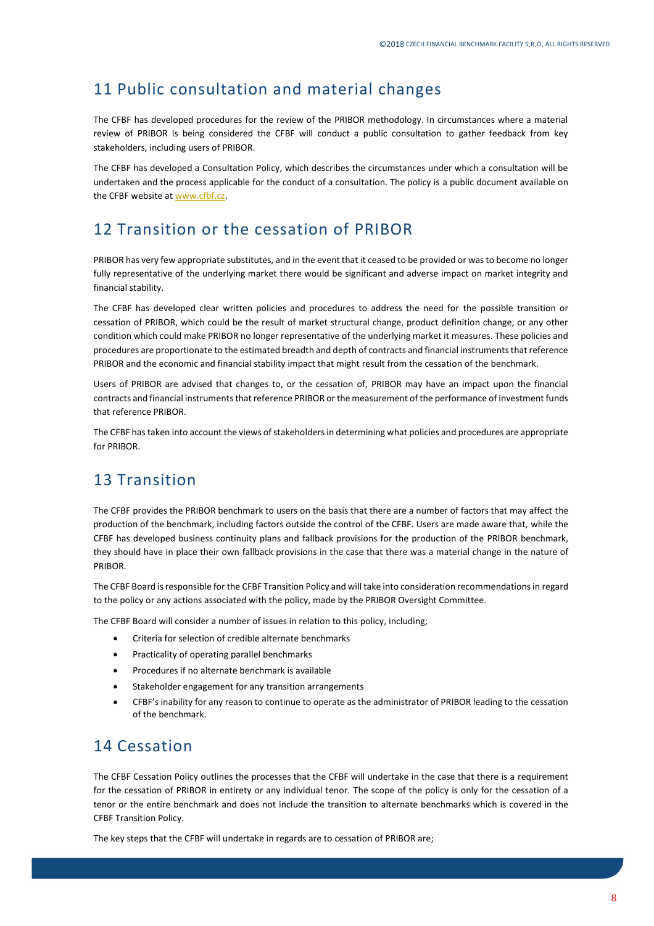#### <span id="page-7-0"></span>11 Public consultation and material changes

The CFBF has developed procedures for the review of the PRIBOR methodology. In circumstances where a material review of PRIBOR is being considered the CFBF will conduct a public consultation to gather feedback from key stakeholders, including users of PRIBOR.

The CFBF has developed a Consultation Policy, which describes the circumstances under which a consultation will be undertaken and the process applicable for the conduct of a consultation. The policy is a public document available on the CFBF website a[t www.cfbf.cz.](http://www.cfbf.cz/)

### <span id="page-7-1"></span>12 Transition or the cessation of PRIBOR

PRIBOR has very few appropriate substitutes, and in the event that it ceased to be provided or was to become no longer fully representative of the underlying market there would be significant and adverse impact on market integrity and financial stability.

The CFBF has developed clear written policies and procedures to address the need for the possible transition or cessation of PRIBOR, which could be the result of market structural change, product definition change, or any other condition which could make PRIBOR no longer representative of the underlying market it measures. These policies and procedures are proportionate to the estimated breadth and depth of contracts and financial instruments that reference PRIBOR and the economic and financial stability impact that might result from the cessation of the benchmark.

Users of PRIBOR are advised that changes to, or the cessation of, PRIBOR may have an impact upon the financial contracts and financial instruments that reference PRIBOR or the measurement of the performance of investment funds that reference PRIBOR.

The CFBF has taken into account the views of stakeholders in determining what policies and procedures are appropriate for PRIBOR.

#### <span id="page-7-2"></span>13 Transition

The CFBF provides the PRIBOR benchmark to users on the basis that there are a number of factors that may affect the production of the benchmark, including factors outside the control of the CFBF. Users are made aware that, while the CFBF has developed business continuity plans and fallback provisions for the production of the PRIBOR benchmark, they should have in place their own fallback provisions in the case that there was a material change in the nature of PRIBOR.

The CFBF Board is responsible for the CFBF Transition Policy and will take into consideration recommendations in regard to the policy or any actions associated with the policy, made by the PRIBOR Oversight Committee.

The CFBF Board will consider a number of issues in relation to this policy, including;

- Criteria for selection of credible alternate benchmarks
- Practicality of operating parallel benchmarks
- Procedures if no alternate benchmark is available
- Stakeholder engagement for any transition arrangements
- CFBF's inability for any reason to continue to operate as the administrator of PRIBOR leading to the cessation of the benchmark.

#### <span id="page-7-3"></span>14 Cessation

The CFBF Cessation Policy outlines the processes that the CFBF will undertake in the case that there is a requirement for the cessation of PRIBOR in entirety or any individual tenor. The scope of the policy is only for the cessation of a tenor or the entire benchmark and does not include the transition to alternate benchmarks which is covered in the CFBF Transition Policy.

The key steps that the CFBF will undertake in regards are to cessation of PRIBOR are;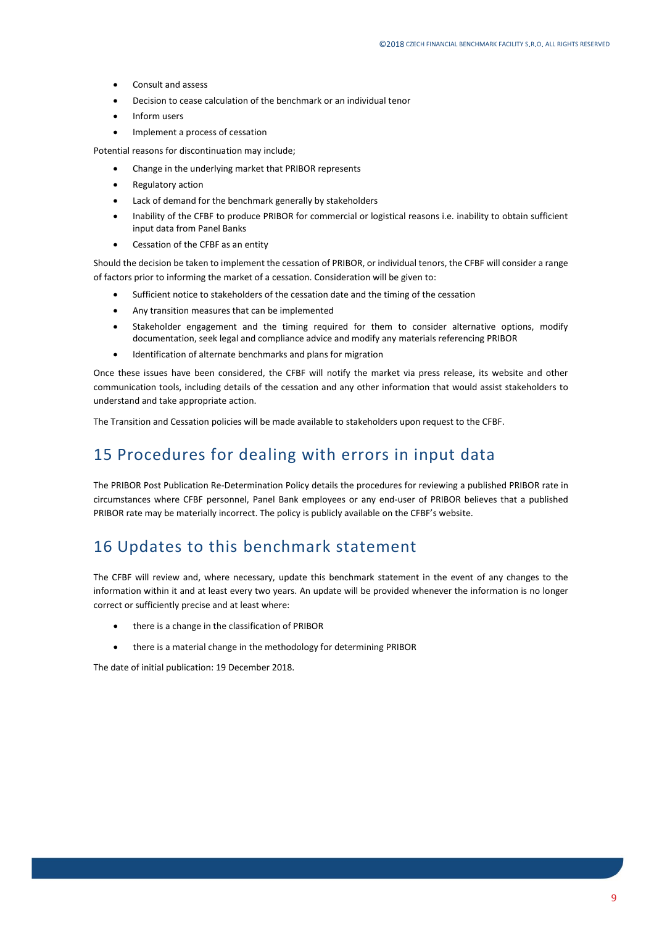- Consult and assess
- Decision to cease calculation of the benchmark or an individual tenor
- Inform users
- Implement a process of cessation

Potential reasons for discontinuation may include;

- Change in the underlying market that PRIBOR represents
- Regulatory action
- Lack of demand for the benchmark generally by stakeholders
- Inability of the CFBF to produce PRIBOR for commercial or logistical reasons i.e. inability to obtain sufficient input data from Panel Banks
- Cessation of the CFBF as an entity

Should the decision be taken to implement the cessation of PRIBOR, or individual tenors, the CFBF will consider a range of factors prior to informing the market of a cessation. Consideration will be given to:

- Sufficient notice to stakeholders of the cessation date and the timing of the cessation
- Any transition measures that can be implemented
- Stakeholder engagement and the timing required for them to consider alternative options, modify documentation, seek legal and compliance advice and modify any materials referencing PRIBOR
- Identification of alternate benchmarks and plans for migration

Once these issues have been considered, the CFBF will notify the market via press release, its website and other communication tools, including details of the cessation and any other information that would assist stakeholders to understand and take appropriate action.

<span id="page-8-0"></span>The Transition and Cessation policies will be made available to stakeholders upon request to the CFBF.

#### 15 Procedures for dealing with errors in input data

The PRIBOR Post Publication Re-Determination Policy details the procedures for reviewing a published PRIBOR rate in circumstances where CFBF personnel, Panel Bank employees or any end-user of PRIBOR believes that a published PRIBOR rate may be materially incorrect. The policy is publicly available on the CFBF's website.

#### <span id="page-8-1"></span>16 Updates to this benchmark statement

The CFBF will review and, where necessary, update this benchmark statement in the event of any changes to the information within it and at least every two years. An update will be provided whenever the information is no longer correct or sufficiently precise and at least where:

- there is a change in the classification of PRIBOR
- there is a material change in the methodology for determining PRIBOR

The date of initial publication: 19 December 2018.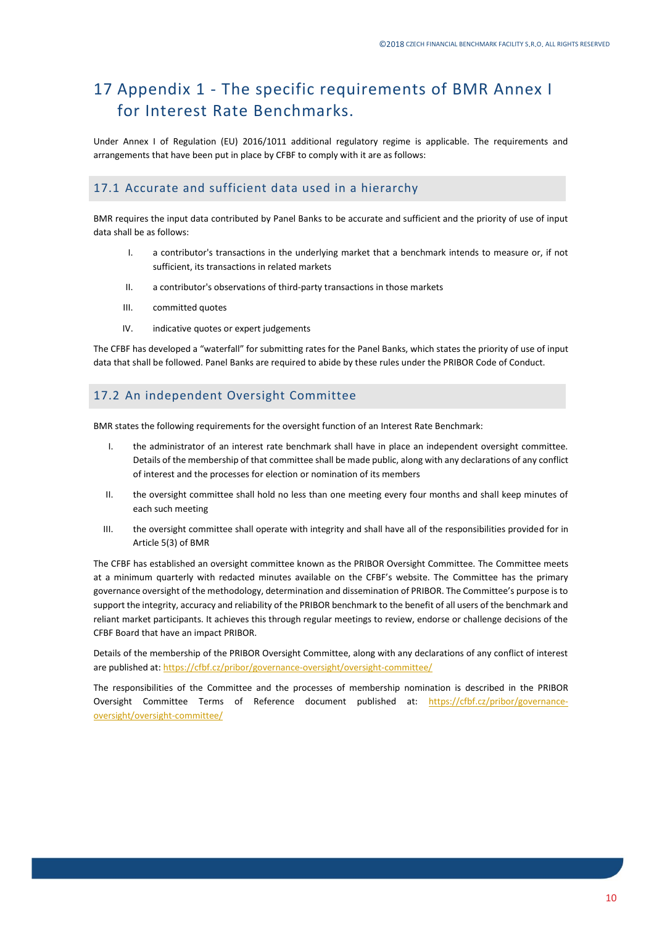# <span id="page-9-0"></span>17 Appendix 1 - The specific requirements of BMR Annex I for Interest Rate Benchmarks.

Under Annex I of Regulation (EU) 2016/1011 additional regulatory regime is applicable. The requirements and arrangements that have been put in place by CFBF to comply with it are as follows:

#### <span id="page-9-1"></span>17.1 Accurate and sufficient data used in a hierarchy

BMR requires the input data contributed by Panel Banks to be accurate and sufficient and the priority of use of input data shall be as follows:

- I. a contributor's transactions in the underlying market that a benchmark intends to measure or, if not sufficient, its transactions in related markets
- II. a contributor's observations of third-party transactions in those markets
- III. committed quotes
- IV. indicative quotes or expert judgements

The CFBF has developed a "waterfall" for submitting rates for the Panel Banks, which states the priority of use of input data that shall be followed. Panel Banks are required to abide by these rules under the PRIBOR Code of Conduct.

#### <span id="page-9-2"></span>17.2 An independent Oversight Committee

BMR states the following requirements for the oversight function of an Interest Rate Benchmark:

- I. the administrator of an interest rate benchmark shall have in place an independent oversight committee. Details of the membership of that committee shall be made public, along with any declarations of any conflict of interest and the processes for election or nomination of its members
- II. the oversight committee shall hold no less than one meeting every four months and shall keep minutes of each such meeting
- III. the oversight committee shall operate with integrity and shall have all of the responsibilities provided for in Article 5(3) of BMR

The CFBF has established an oversight committee known as the PRIBOR Oversight Committee. The Committee meets at a minimum quarterly with redacted minutes available on the CFBF's website. The Committee has the primary governance oversight of the methodology, determination and dissemination of PRIBOR. The Committee's purpose is to support the integrity, accuracy and reliability of the PRIBOR benchmark to the benefit of all users of the benchmark and reliant market participants. It achieves this through regular meetings to review, endorse or challenge decisions of the CFBF Board that have an impact PRIBOR.

Details of the membership of the PRIBOR Oversight Committee, along with any declarations of any conflict of interest are published at: <https://cfbf.cz/pribor/governance-oversight/oversight-committee/>

The responsibilities of the Committee and the processes of membership nomination is described in the PRIBOR Oversight Committee Terms of Reference document published at: [https://cfbf.cz/pribor/governance](https://cfbf.cz/pribor/governance-oversight/oversight-committee/)[oversight/oversight-committee/](https://cfbf.cz/pribor/governance-oversight/oversight-committee/)